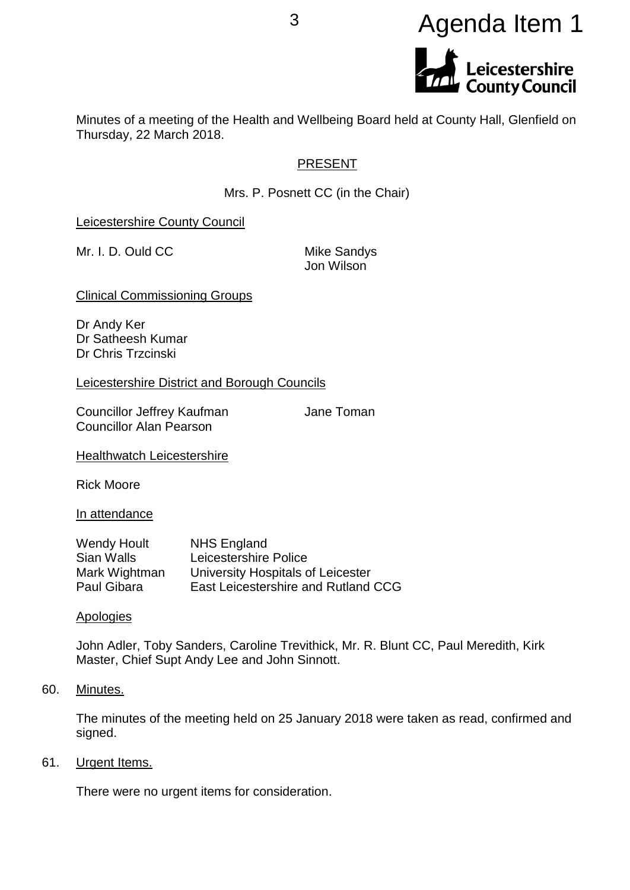# <sup>3</sup> Agenda Item 1Leicestershire<br>County Council

Minutes of a meeting of the Health and Wellbeing Board held at County Hall, Glenfield on Thursday, 22 March 2018.

# PRESENT

Mrs. P. Posnett CC (in the Chair)

Leicestershire County Council

Mr. I. D. Ould CC Mike Sandys

Jon Wilson

Clinical Commissioning Groups

Dr Andy Ker Dr Satheesh Kumar Dr Chris Trzcinski

Leicestershire District and Borough Councils

Councillor Jeffrey Kaufman **Jane Toman** Councillor Alan Pearson

**Healthwatch Leicestershire** 

Rick Moore

In attendance

| <b>Wendy Hoult</b> | <b>NHS England</b>                  |
|--------------------|-------------------------------------|
| Sian Walls         | Leicestershire Police               |
| Mark Wightman      | University Hospitals of Leicester   |
| Paul Gibara        | East Leicestershire and Rutland CCG |

**Apologies** 

John Adler, Toby Sanders, Caroline Trevithick, Mr. R. Blunt CC, Paul Meredith, Kirk Master, Chief Supt Andy Lee and John Sinnott.

60. Minutes.

The minutes of the meeting held on 25 January 2018 were taken as read, confirmed and signed.

61. Urgent Items.

There were no urgent items for consideration.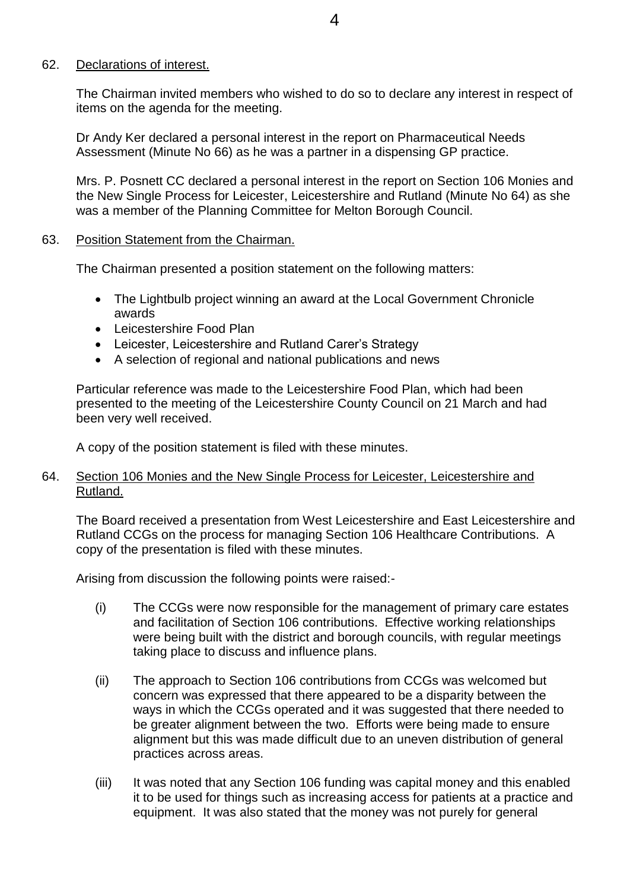## 62. Declarations of interest.

The Chairman invited members who wished to do so to declare any interest in respect of items on the agenda for the meeting.

Dr Andy Ker declared a personal interest in the report on Pharmaceutical Needs Assessment (Minute No 66) as he was a partner in a dispensing GP practice.

Mrs. P. Posnett CC declared a personal interest in the report on Section 106 Monies and the New Single Process for Leicester, Leicestershire and Rutland (Minute No 64) as she was a member of the Planning Committee for Melton Borough Council.

# 63. Position Statement from the Chairman.

The Chairman presented a position statement on the following matters:

- The Lightbulb project winning an award at the Local Government Chronicle awards
- Leicestershire Food Plan
- Leicester, Leicestershire and Rutland Carer's Strategy
- A selection of regional and national publications and news

Particular reference was made to the Leicestershire Food Plan, which had been presented to the meeting of the Leicestershire County Council on 21 March and had been very well received.

A copy of the position statement is filed with these minutes.

# 64. Section 106 Monies and the New Single Process for Leicester, Leicestershire and Rutland.

The Board received a presentation from West Leicestershire and East Leicestershire and Rutland CCGs on the process for managing Section 106 Healthcare Contributions. A copy of the presentation is filed with these minutes.

Arising from discussion the following points were raised:-

- (i) The CCGs were now responsible for the management of primary care estates and facilitation of Section 106 contributions. Effective working relationships were being built with the district and borough councils, with regular meetings taking place to discuss and influence plans.
- (ii) The approach to Section 106 contributions from CCGs was welcomed but concern was expressed that there appeared to be a disparity between the ways in which the CCGs operated and it was suggested that there needed to be greater alignment between the two. Efforts were being made to ensure alignment but this was made difficult due to an uneven distribution of general practices across areas.
- (iii) It was noted that any Section 106 funding was capital money and this enabled it to be used for things such as increasing access for patients at a practice and equipment. It was also stated that the money was not purely for general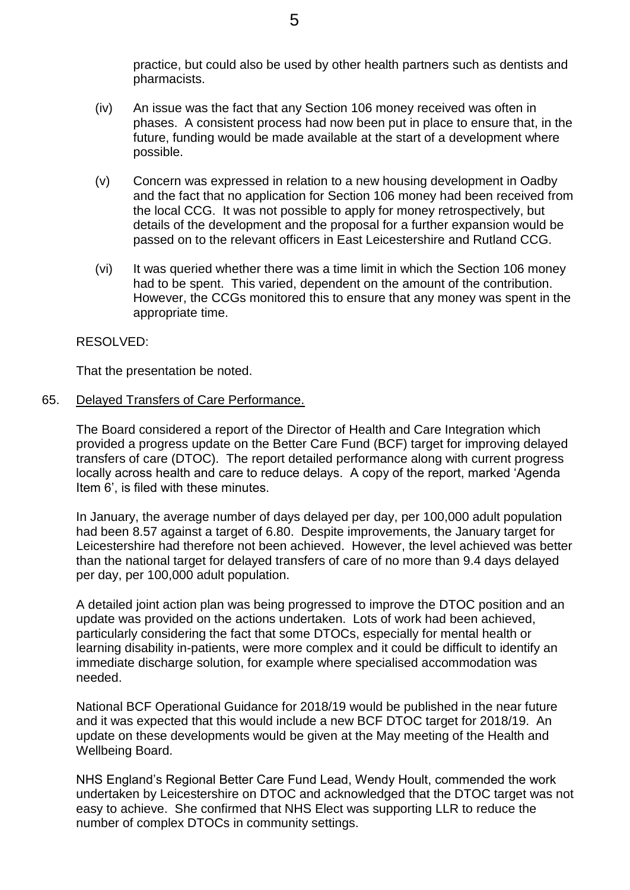practice, but could also be used by other health partners such as dentists and pharmacists.

- (iv) An issue was the fact that any Section 106 money received was often in phases. A consistent process had now been put in place to ensure that, in the future, funding would be made available at the start of a development where possible.
- (v) Concern was expressed in relation to a new housing development in Oadby and the fact that no application for Section 106 money had been received from the local CCG. It was not possible to apply for money retrospectively, but details of the development and the proposal for a further expansion would be passed on to the relevant officers in East Leicestershire and Rutland CCG.
- (vi) It was queried whether there was a time limit in which the Section 106 money had to be spent. This varied, dependent on the amount of the contribution. However, the CCGs monitored this to ensure that any money was spent in the appropriate time.

# RESOLVED:

That the presentation be noted.

## 65. Delayed Transfers of Care Performance.

The Board considered a report of the Director of Health and Care Integration which provided a progress update on the Better Care Fund (BCF) target for improving delayed transfers of care (DTOC). The report detailed performance along with current progress locally across health and care to reduce delays. A copy of the report, marked 'Agenda Item 6', is filed with these minutes.

In January, the average number of days delayed per day, per 100,000 adult population had been 8.57 against a target of 6.80. Despite improvements, the January target for Leicestershire had therefore not been achieved. However, the level achieved was better than the national target for delayed transfers of care of no more than 9.4 days delayed per day, per 100,000 adult population.

A detailed joint action plan was being progressed to improve the DTOC position and an update was provided on the actions undertaken. Lots of work had been achieved, particularly considering the fact that some DTOCs, especially for mental health or learning disability in-patients, were more complex and it could be difficult to identify an immediate discharge solution, for example where specialised accommodation was needed.

National BCF Operational Guidance for 2018/19 would be published in the near future and it was expected that this would include a new BCF DTOC target for 2018/19. An update on these developments would be given at the May meeting of the Health and Wellbeing Board.

NHS England's Regional Better Care Fund Lead, Wendy Hoult, commended the work undertaken by Leicestershire on DTOC and acknowledged that the DTOC target was not easy to achieve. She confirmed that NHS Elect was supporting LLR to reduce the number of complex DTOCs in community settings.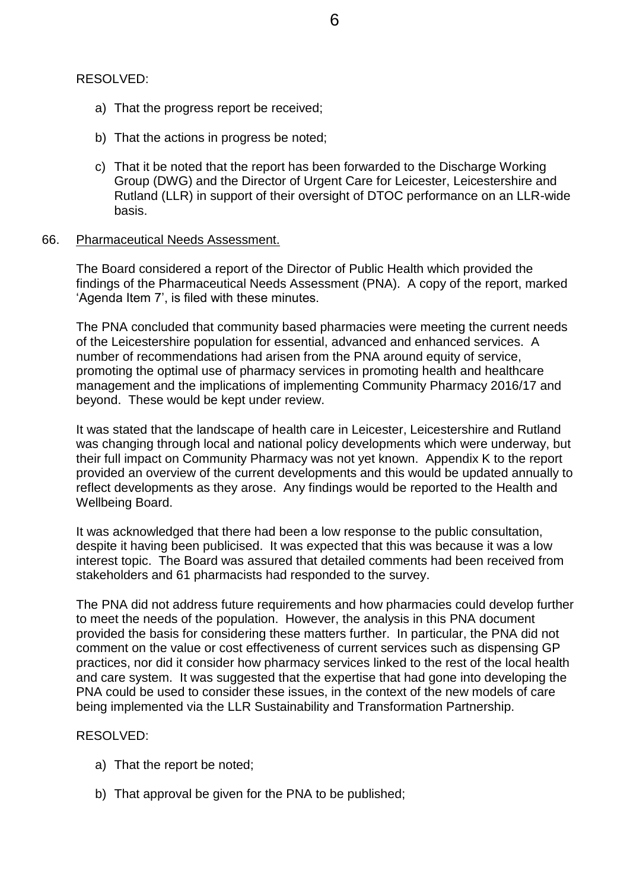## RESOLVED:

- a) That the progress report be received;
- b) That the actions in progress be noted;
- c) That it be noted that the report has been forwarded to the Discharge Working Group (DWG) and the Director of Urgent Care for Leicester, Leicestershire and Rutland (LLR) in support of their oversight of DTOC performance on an LLR-wide basis.

## 66. Pharmaceutical Needs Assessment.

The Board considered a report of the Director of Public Health which provided the findings of the Pharmaceutical Needs Assessment (PNA). A copy of the report, marked 'Agenda Item 7', is filed with these minutes.

The PNA concluded that community based pharmacies were meeting the current needs of the Leicestershire population for essential, advanced and enhanced services. A number of recommendations had arisen from the PNA around equity of service, promoting the optimal use of pharmacy services in promoting health and healthcare management and the implications of implementing Community Pharmacy 2016/17 and beyond. These would be kept under review.

It was stated that the landscape of health care in Leicester, Leicestershire and Rutland was changing through local and national policy developments which were underway, but their full impact on Community Pharmacy was not yet known. Appendix K to the report provided an overview of the current developments and this would be updated annually to reflect developments as they arose. Any findings would be reported to the Health and Wellbeing Board.

It was acknowledged that there had been a low response to the public consultation, despite it having been publicised. It was expected that this was because it was a low interest topic. The Board was assured that detailed comments had been received from stakeholders and 61 pharmacists had responded to the survey.

The PNA did not address future requirements and how pharmacies could develop further to meet the needs of the population. However, the analysis in this PNA document provided the basis for considering these matters further. In particular, the PNA did not comment on the value or cost effectiveness of current services such as dispensing GP practices, nor did it consider how pharmacy services linked to the rest of the local health and care system. It was suggested that the expertise that had gone into developing the PNA could be used to consider these issues, in the context of the new models of care being implemented via the LLR Sustainability and Transformation Partnership.

# RESOLVED:

- a) That the report be noted;
- b) That approval be given for the PNA to be published;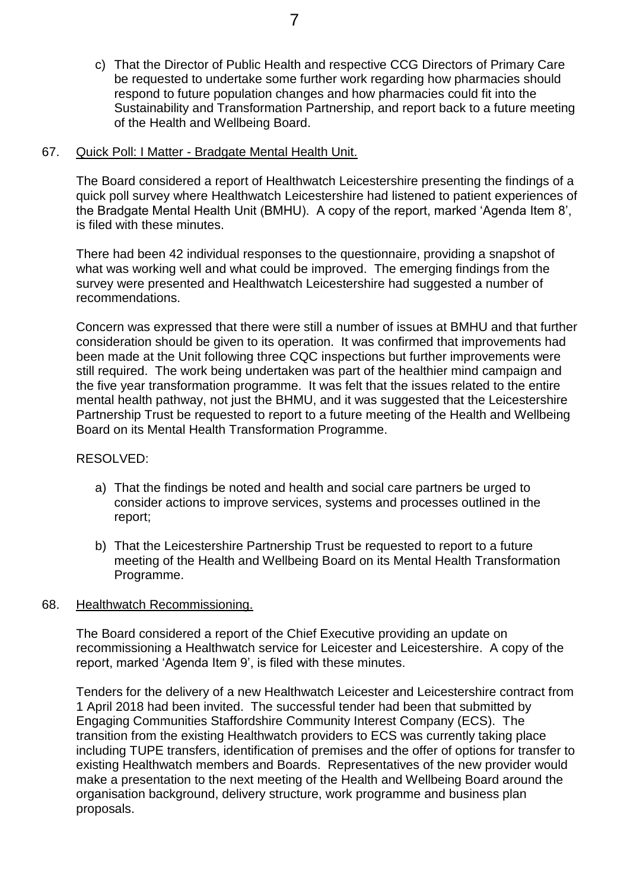c) That the Director of Public Health and respective CCG Directors of Primary Care be requested to undertake some further work regarding how pharmacies should respond to future population changes and how pharmacies could fit into the Sustainability and Transformation Partnership, and report back to a future meeting of the Health and Wellbeing Board.

## 67. Quick Poll: I Matter - Bradgate Mental Health Unit.

The Board considered a report of Healthwatch Leicestershire presenting the findings of a quick poll survey where Healthwatch Leicestershire had listened to patient experiences of the Bradgate Mental Health Unit (BMHU). A copy of the report, marked 'Agenda Item 8', is filed with these minutes.

There had been 42 individual responses to the questionnaire, providing a snapshot of what was working well and what could be improved. The emerging findings from the survey were presented and Healthwatch Leicestershire had suggested a number of recommendations.

Concern was expressed that there were still a number of issues at BMHU and that further consideration should be given to its operation. It was confirmed that improvements had been made at the Unit following three CQC inspections but further improvements were still required. The work being undertaken was part of the healthier mind campaign and the five year transformation programme. It was felt that the issues related to the entire mental health pathway, not just the BHMU, and it was suggested that the Leicestershire Partnership Trust be requested to report to a future meeting of the Health and Wellbeing Board on its Mental Health Transformation Programme.

## RESOLVED:

- a) That the findings be noted and health and social care partners be urged to consider actions to improve services, systems and processes outlined in the report;
- b) That the Leicestershire Partnership Trust be requested to report to a future meeting of the Health and Wellbeing Board on its Mental Health Transformation Programme.

## 68. Healthwatch Recommissioning.

The Board considered a report of the Chief Executive providing an update on recommissioning a Healthwatch service for Leicester and Leicestershire. A copy of the report, marked 'Agenda Item 9', is filed with these minutes.

Tenders for the delivery of a new Healthwatch Leicester and Leicestershire contract from 1 April 2018 had been invited. The successful tender had been that submitted by Engaging Communities Staffordshire Community Interest Company (ECS). The transition from the existing Healthwatch providers to ECS was currently taking place including TUPE transfers, identification of premises and the offer of options for transfer to existing Healthwatch members and Boards. Representatives of the new provider would make a presentation to the next meeting of the Health and Wellbeing Board around the organisation background, delivery structure, work programme and business plan proposals.